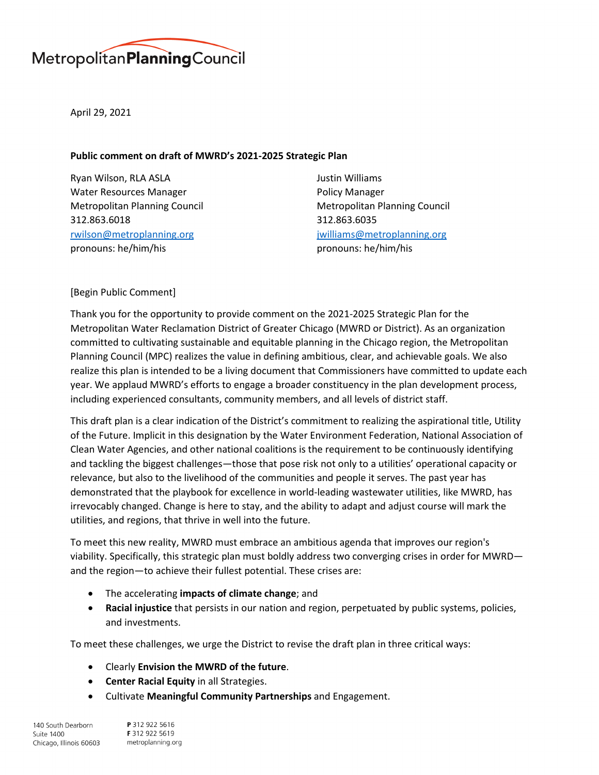

April 29, 2021

## **Public comment on draft of MWRD's 2021-2025 Strategic Plan**

Ryan Wilson, RLA ASLA Water Resources Manager Metropolitan Planning Council 312.863.6018 [rwilson@metroplanning.org](mailto:rwilson@metroplanning.org) pronouns: he/him/his

Justin Williams Policy Manager Metropolitan Planning Council 312.863.6035 [jwilliams@metroplanning.org](mailto:jwilliams@metroplanning.org) pronouns: he/him/his

# [Begin Public Comment]

Thank you for the opportunity to provide comment on the 2021-2025 Strategic Plan for the Metropolitan Water Reclamation District of Greater Chicago (MWRD or District). As an organization committed to cultivating sustainable and equitable planning in the Chicago region, the Metropolitan Planning Council (MPC) realizes the value in defining ambitious, clear, and achievable goals. We also realize this plan is intended to be a living document that Commissioners have committed to update each year. We applaud MWRD's efforts to engage a broader constituency in the plan development process, including experienced consultants, community members, and all levels of district staff.

This draft plan is a clear indication of the District's commitment to realizing the aspirational title, Utility of the Future. Implicit in this designation by the Water Environment Federation, National Association of Clean Water Agencies, and other national coalitions is the requirement to be continuously identifying and tackling the biggest challenges—those that pose risk not only to a utilities' operational capacity or relevance, but also to the livelihood of the communities and people it serves. The past year has demonstrated that the playbook for excellence in world-leading wastewater utilities, like MWRD, has irrevocably changed. Change is here to stay, and the ability to adapt and adjust course will mark the utilities, and regions, that thrive in well into the future.

To meet this new reality, MWRD must embrace an ambitious agenda that improves our region's viability. Specifically, this strategic plan must boldly address two converging crises in order for MWRD and the region—to achieve their fullest potential. These crises are:

- The accelerating **impacts of climate change**; and
- **Racial injustice** that persists in our nation and region, perpetuated by public systems, policies, and investments.

To meet these challenges, we urge the District to revise the draft plan in three critical ways:

- Clearly **Envision the MWRD of the future**.
- **Center Racial Equity** in all Strategies.
- Cultivate **Meaningful Community Partnerships** and Engagement.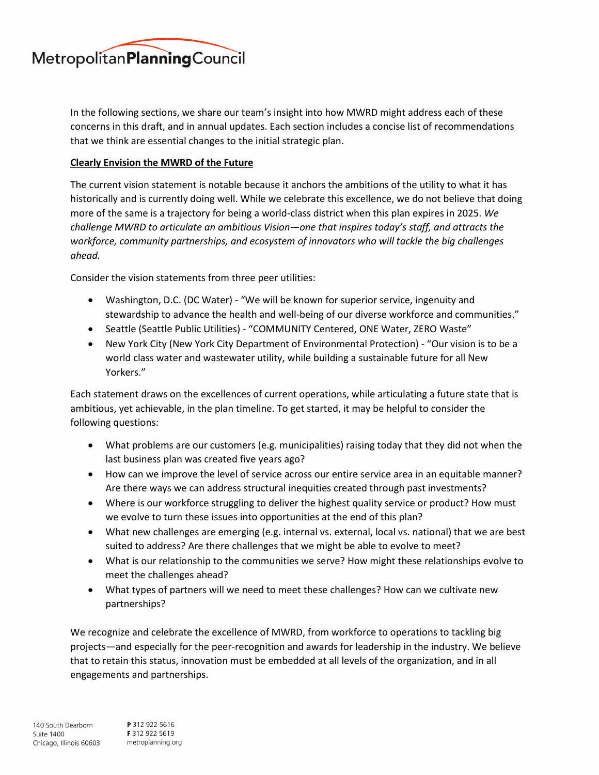

In the following sections, we share our team's insight into how MWRD might address each of these concerns in this draft, and in annual updates. Each section includes a concise list of recommendations that we think are essential changes to the initial strategic plan.

## **Clearly Envision the MWRD of the Future**

The current vision statement is notable because it anchors the ambitions of the utility to what it has historically and is currently doing well. While we celebrate this excellence, we do not believe that doing more of the same is a trajectory for being a world-class district when this plan expires in 2025. *We challenge MWRD to articulate an ambitious Vision—one that inspires today's staff, and attracts the workforce, community partnerships, and ecosystem of innovators who will tackle the big challenges ahead.* 

Consider the vision statements from three peer utilities:

- Washington, D.C. (DC Water) "We will be known for superior service, ingenuity and stewardship to advance the health and well-being of our diverse workforce and communities."
- Seattle (Seattle Public Utilities) "COMMUNITY Centered, ONE Water, ZERO Waste"
- New York City (New York City Department of Environmental Protection) "Our vision is to be a world class water and wastewater utility, while building a sustainable future for all New Yorkers."

Each statement draws on the excellences of current operations, while articulating a future state that is ambitious, yet achievable, in the plan timeline. To get started, it may be helpful to consider the following questions:

- What problems are our customers (e.g. municipalities) raising today that they did not when the last business plan was created five years ago?
- How can we improve the level of service across our entire service area in an equitable manner? Are there ways we can address structural inequities created through past investments?
- Where is our workforce struggling to deliver the highest quality service or product? How must we evolve to turn these issues into opportunities at the end of this plan?
- What new challenges are emerging (e.g. internal vs. external, local vs. national) that we are best suited to address? Are there challenges that we might be able to evolve to meet?
- What is our relationship to the communities we serve? How might these relationships evolve to meet the challenges ahead?
- What types of partners will we need to meet these challenges? How can we cultivate new partnerships?

We recognize and celebrate the excellence of MWRD, from workforce to operations to tackling big projects—and especially for the peer-recognition and awards for leadership in the industry. We believe that to retain this status, innovation must be embedded at all levels of the organization, and in all engagements and partnerships.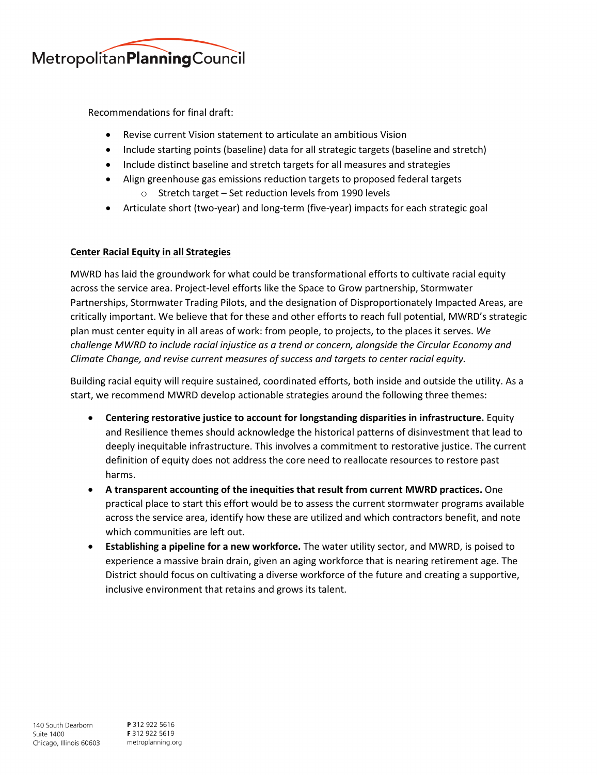

Recommendations for final draft:

- Revise current Vision statement to articulate an ambitious Vision
- Include starting points (baseline) data for all strategic targets (baseline and stretch)
- Include distinct baseline and stretch targets for all measures and strategies
- Align greenhouse gas emissions reduction targets to proposed federal targets o Stretch target – Set reduction levels from 1990 levels
- Articulate short (two-year) and long-term (five-year) impacts for each strategic goal

### **Center Racial Equity in all Strategies**

MWRD has laid the groundwork for what could be transformational efforts to cultivate racial equity across the service area. Project-level efforts like the Space to Grow partnership, Stormwater Partnerships, Stormwater Trading Pilots, and the designation of Disproportionately Impacted Areas, are critically important. We believe that for these and other efforts to reach full potential, MWRD's strategic plan must center equity in all areas of work: from people, to projects, to the places it serves. *We challenge MWRD to include racial injustice as a trend or concern, alongside the Circular Economy and Climate Change, and revise current measures of success and targets to center racial equity.*

Building racial equity will require sustained, coordinated efforts, both inside and outside the utility. As a start, we recommend MWRD develop actionable strategies around the following three themes:

- **Centering restorative justice to account for longstanding disparities in infrastructure.** Equity and Resilience themes should acknowledge the historical patterns of disinvestment that lead to deeply inequitable infrastructure. This involves a commitment to restorative justice. The current definition of equity does not address the core need to reallocate resources to restore past harms.
- **A transparent accounting of the inequities that result from current MWRD practices.** One practical place to start this effort would be to assess the current stormwater programs available across the service area, identify how these are utilized and which contractors benefit, and note which communities are left out.
- **Establishing a pipeline for a new workforce.** The water utility sector, and MWRD, is poised to experience a massive brain drain, given an aging workforce that is nearing retirement age. The District should focus on cultivating a diverse workforce of the future and creating a supportive, inclusive environment that retains and grows its talent.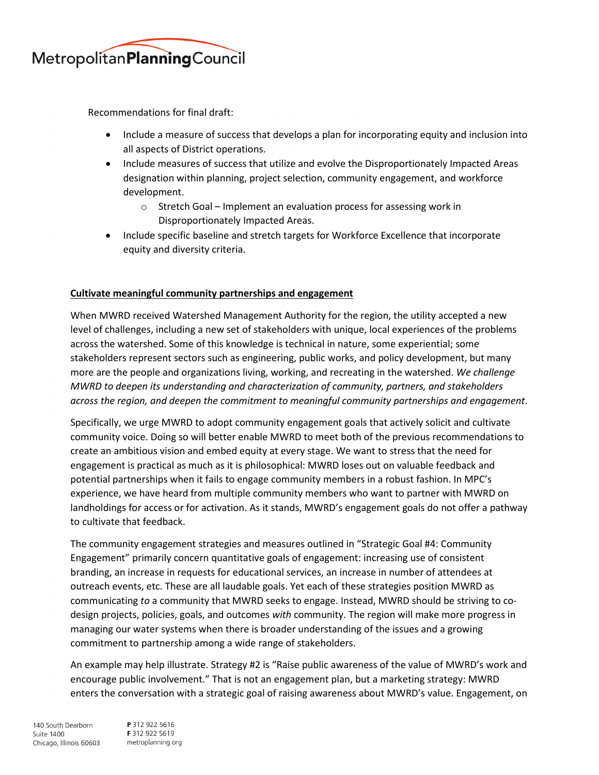

Recommendations for final draft:

- Include a measure of success that develops a plan for incorporating equity and inclusion into all aspects of District operations.
- Include measures of success that utilize and evolve the Disproportionately Impacted Areas designation within planning, project selection, community engagement, and workforce development.
	- $\circ$  Stretch Goal Implement an evaluation process for assessing work in Disproportionately Impacted Areas.
- Include specific baseline and stretch targets for Workforce Excellence that incorporate equity and diversity criteria.

# **Cultivate meaningful community partnerships and engagement**

When MWRD received Watershed Management Authority for the region, the utility accepted a new level of challenges, including a new set of stakeholders with unique, local experiences of the problems across the watershed. Some of this knowledge is technical in nature, some experiential; some stakeholders represent sectors such as engineering, public works, and policy development, but many more are the people and organizations living, working, and recreating in the watershed. *We challenge MWRD to deepen its understanding and characterization of community, partners, and stakeholders across the region, and deepen the commitment to meaningful community partnerships and engagement*.

Specifically, we urge MWRD to adopt community engagement goals that actively solicit and cultivate community voice. Doing so will better enable MWRD to meet both of the previous recommendations to create an ambitious vision and embed equity at every stage. We want to stress that the need for engagement is practical as much as it is philosophical: MWRD loses out on valuable feedback and potential partnerships when it fails to engage community members in a robust fashion. In MPC's experience, we have heard from multiple community members who want to partner with MWRD on landholdings for access or for activation. As it stands, MWRD's engagement goals do not offer a pathway to cultivate that feedback.

The community engagement strategies and measures outlined in "Strategic Goal #4: Community Engagement" primarily concern quantitative goals of engagement: increasing use of consistent branding, an increase in requests for educational services, an increase in number of attendees at outreach events, etc. These are all laudable goals. Yet each of these strategies position MWRD as communicating *to* a community that MWRD seeks to engage. Instead, MWRD should be striving to codesign projects, policies, goals, and outcomes *with* community. The region will make more progress in managing our water systems when there is broader understanding of the issues and a growing commitment to partnership among a wide range of stakeholders.

An example may help illustrate. Strategy #2 is "Raise public awareness of the value of MWRD's work and encourage public involvement." That is not an engagement plan, but a marketing strategy: MWRD enters the conversation with a strategic goal of raising awareness about MWRD's value. Engagement, on